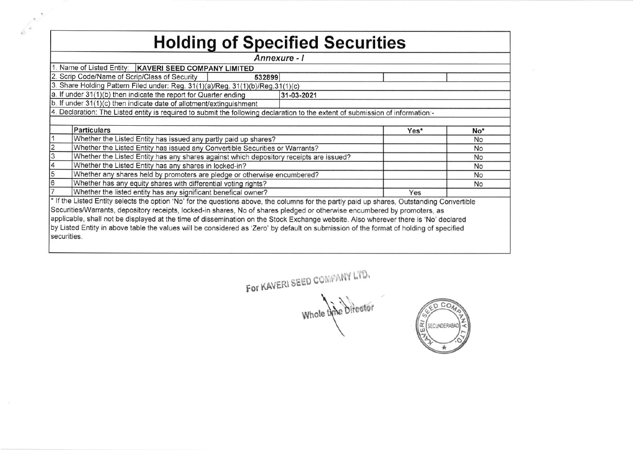|   | <b>Holding of Specified Securities</b>                                                                                                                                                                                                                           |      |                                                 |
|---|------------------------------------------------------------------------------------------------------------------------------------------------------------------------------------------------------------------------------------------------------------------|------|-------------------------------------------------|
|   | Annexure - I                                                                                                                                                                                                                                                     |      |                                                 |
|   | 1. Name of Listed Entity:   KAVERI SEED COMPANY LIMITED                                                                                                                                                                                                          |      |                                                 |
|   | 2. Scrip Code/Name of Scrip/Class of Security<br>532899                                                                                                                                                                                                          |      |                                                 |
|   | 3. Share Holding Pattern Filed under: Reg. 31(1)(a)/Reg. 31(1)(b)/Reg.31(1)(c)                                                                                                                                                                                   |      |                                                 |
|   | a. If under 31(1)(b) then indicate the report for Quarter ending<br>31-03-2021                                                                                                                                                                                   |      |                                                 |
|   | b. If under 31(1)(c) then indicate date of allotment/extinguishment                                                                                                                                                                                              |      |                                                 |
|   | 4. Declaration: The Listed entity is required to submit the following declaration to the extent of submission of information:-                                                                                                                                   |      |                                                 |
|   |                                                                                                                                                                                                                                                                  |      |                                                 |
|   | <b>Particulars</b>                                                                                                                                                                                                                                               | Yes* | No*                                             |
|   |                                                                                                                                                                                                                                                                  |      | <b>No</b>                                       |
|   | Whether the Listed Entity has issued any partly paid up shares?                                                                                                                                                                                                  |      |                                                 |
|   | Whether the Listed Entity has issued any Convertible Securities or Warrants?                                                                                                                                                                                     |      |                                                 |
|   | Whether the Listed Entity has any shares against which depository receipts are issued?                                                                                                                                                                           |      |                                                 |
|   | Whether the Listed Entity has any shares in locked-in?                                                                                                                                                                                                           |      |                                                 |
| 5 | Whether any shares held by promoters are pledge or otherwise encumbered?                                                                                                                                                                                         |      |                                                 |
|   | Whether has any equity shares with differential voting rights?                                                                                                                                                                                                   |      | No<br><b>No</b><br><b>No</b><br><b>No</b><br>No |
|   | Whether the listed entity has any significant benefical owner?                                                                                                                                                                                                   | Yes  |                                                 |
|   | * If the Listed Entity selects the option 'No' for the questions above, the columns for the partly paid up shares, Outstanding Convertible                                                                                                                       |      |                                                 |
|   | Securities/Warrants, depository receipts, locked-in shares, No of shares pledged or otherwise encumbered by promoters, as<br>applicable, shall not be displayed at the time of dissemination on the Stock Exchange website. Also wherever there is 'No' declared |      |                                                 |

For KAVERI SEED COMPANY LTD. Whole this bifestor



 $\langle \langle \hat{c} \rangle \rangle$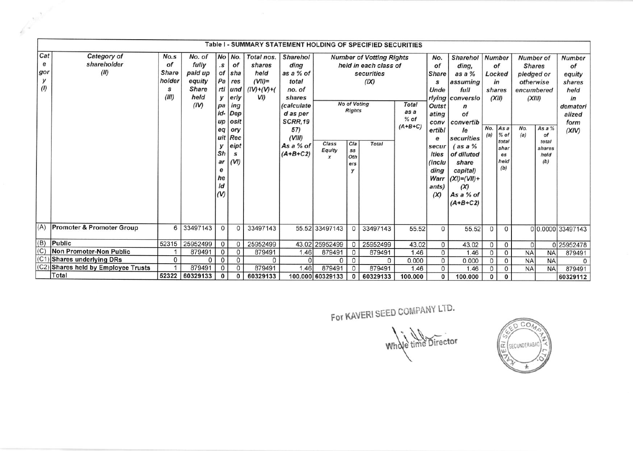|                   |                                       |              |          | uit<br>у<br>Sh<br>ar<br>е<br>he<br>ld<br>$(V)$ | Rec<br>eipt<br>s<br>(VI) |          | (VIII)<br>As a % of<br>$(A+B+C2)$ | Class<br>Equity | Cla<br>SS<br>Oth<br>ers<br>у | Total    |       | е<br>secur<br>ities<br>(inclu<br>ding<br>Warr<br>ants)<br>(X) | securities<br>$($ as a $%$<br>of diluted<br>share<br>capital)<br>$(XI)=(VII)+$<br>(X)<br>As a % of<br>$(A+B+C2)$ | (a)          | As a<br>% of<br>total<br>shar<br>es<br>held<br>(b) | No.<br>(a) | As a %<br>of<br>total<br>shares<br>held<br>(b) | (XIV)      |
|-------------------|---------------------------------------|--------------|----------|------------------------------------------------|--------------------------|----------|-----------------------------------|-----------------|------------------------------|----------|-------|---------------------------------------------------------------|------------------------------------------------------------------------------------------------------------------|--------------|----------------------------------------------------|------------|------------------------------------------------|------------|
| (A)               | <b>Promoter &amp; Promoter Group</b>  | 6            | 33497143 | $\Omega$                                       | $\Omega$                 | 33497143 |                                   | 55.52 33497143  | $\mathbf 0$                  | 33497143 | 55.52 | $\Omega$                                                      | 55.52                                                                                                            | 0            | $\Omega$                                           |            | 00.0000 33497143                               |            |
| (B)<br>Public     |                                       | 52315        | 25952499 | 0                                              | $\Omega$                 | 25952499 |                                   | 43.02 25952499  | $\mathbf{0}$                 | 25952499 | 43.02 | $\circ$                                                       | 43.02                                                                                                            | 0            | 0                                                  | οI         |                                                | 0 25952478 |
| (C)               | Non Promoter-Non Public               |              | 879491   | 0                                              | $\Omega$                 | 879491   | 1.46                              | 879491          | $\mathbf{0}$                 | 879491   | 1.46  | $\circ$                                                       | 1.46                                                                                                             | $\mathbf{0}$ | $\overline{0}$                                     | <b>NA</b>  | <b>NA</b>                                      | 879491     |
| (C <sub>1</sub> ) | <b>Shares underlying DRs</b>          | 0            | $\Omega$ | $\Omega$                                       | $\mathbf{0}$             | $\Omega$ | $\Omega$                          | $\Omega$        | $\mathbf 0$                  | 0        | 0.000 | $\mathsf{O}$                                                  | 0.000                                                                                                            | 0            | 0                                                  | <b>NA</b>  | <b>NA</b>                                      |            |
| (C2)<br>Total     | <b>Shares held by Employee Trusts</b> | $\mathbf{1}$ | 879491   | $\Omega$                                       | $\Omega$                 | 879491   | 1.46                              | 879491          | $\circ$                      | 879491   | 1.46  | 0                                                             | 1.46                                                                                                             | 0            | 0                                                  | <b>NA</b>  | <b>NA</b>                                      | 879491     |

For KAVERI SEED COMPANY LTD.

Whole time Director

 $0001$ E (SECUNDERABAD)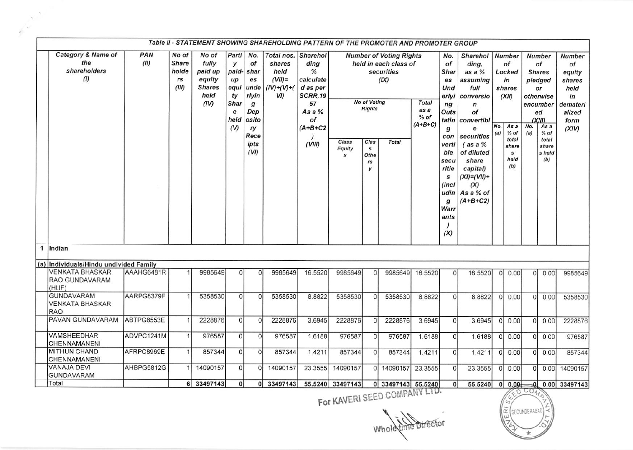|                                                             |             |                                               |                                                                      |                                                                        |                                                                                                            |                                                                    |                                                                                                          | Table II - STATEMENT SHOWING SHAREHOLDING PATTERN OF THE PROMOTER AND PROMOTER GROUP |                                                                                 |                                                                                               |                                             |                                                                                                                                                |                                                                                                                                                                                                                                               |            |                                                                                                                |            |                                                                                                                                                     |                                                                                       |
|-------------------------------------------------------------|-------------|-----------------------------------------------|----------------------------------------------------------------------|------------------------------------------------------------------------|------------------------------------------------------------------------------------------------------------|--------------------------------------------------------------------|----------------------------------------------------------------------------------------------------------|--------------------------------------------------------------------------------------|---------------------------------------------------------------------------------|-----------------------------------------------------------------------------------------------|---------------------------------------------|------------------------------------------------------------------------------------------------------------------------------------------------|-----------------------------------------------------------------------------------------------------------------------------------------------------------------------------------------------------------------------------------------------|------------|----------------------------------------------------------------------------------------------------------------|------------|-----------------------------------------------------------------------------------------------------------------------------------------------------|---------------------------------------------------------------------------------------|
| <b>Category &amp; Name of</b><br>the<br>shareholders<br>(1) | PAN<br>(II) | No of<br><b>Share</b><br>holde<br>rs<br>(III) | No of<br>fully<br>paid up<br>equity<br><b>Shares</b><br>held<br>(IV) | Partl<br>y<br>paid-<br>$\mu$<br>equi<br>ty<br>Shar<br>e<br>held<br>(V) | No.<br>of<br>shar<br>es<br>unde<br>rlyin<br>$\boldsymbol{g}$<br>Dep<br>osito<br>ry<br>Rece<br>ipts<br>(VI) | Total nos.<br>shares<br>held<br>$(VII)$ =<br>$(IV)+(V)+(V)$<br>VI) | Sharehol<br>dina<br>%<br>calculate<br>d as per<br>SCRR,19<br>57<br>As a $%$<br>of<br>$(A+B+C2$<br>(VIII) | Class<br>Equity<br>$\boldsymbol{x}$                                                  | <b>No of Voting</b><br><b>Rights</b><br>Clas<br>$\mathbf{s}$<br>Othe<br>rs<br>y | <b>Number of Voting Rights</b><br>held in each class of<br>securities<br>(IX)<br><b>Total</b> | <b>Total</b><br>as a<br>$%$ of<br>$(A+B+C)$ | No.<br>of<br>Shar<br>es<br>Und<br>erlyi<br>ng<br>Outs<br>tatin<br>g<br>verti<br>ble<br>secu<br>ritie<br>s<br>(incl<br>q<br>Warr<br>ants<br>(X) | <b>Sharehol</b><br>ding,<br>as a %<br>assuming<br>full<br>conversio<br>$\boldsymbol{n}$<br>of<br>convertibl<br>e<br>con securities<br>$($ as a $%$<br>of diluted<br>share<br>capital)<br>$(XI)=(VII)+$<br>(X)<br>udin As a % of<br>$(A+B+C2)$ | No.<br>(a) | <b>Number</b><br>of<br>Locked<br>in<br>shares<br>(XII)<br>As a<br>$%$ of<br>total<br>share<br>s<br>held<br>(b) | No.<br>(a) | <b>Number</b><br>of<br><b>Shares</b><br>pledged<br>or<br>otherwise<br>encumber<br>ed<br>(XIII)<br>As a<br>$%$ of<br>total<br>share<br>s held<br>(b) | Number<br>of<br>equity<br>shares<br>held<br>in<br>demateri<br>alized<br>form<br>(XIV) |
| 1 Indian                                                    |             |                                               |                                                                      |                                                                        |                                                                                                            |                                                                    |                                                                                                          |                                                                                      |                                                                                 |                                                                                               |                                             |                                                                                                                                                |                                                                                                                                                                                                                                               |            |                                                                                                                |            |                                                                                                                                                     |                                                                                       |
| (a) Individuals/Hindu undivided Family                      |             |                                               |                                                                      |                                                                        |                                                                                                            |                                                                    |                                                                                                          |                                                                                      |                                                                                 |                                                                                               |                                             |                                                                                                                                                |                                                                                                                                                                                                                                               |            |                                                                                                                |            |                                                                                                                                                     |                                                                                       |
| <b>VENKATA BHASKAR</b><br><b>RAO GUNDAVARAM</b><br>(HUF)    | AAAHG6481R  |                                               | 9985649                                                              | $\Omega$                                                               | $\Omega$                                                                                                   | 9985649                                                            | 16.5520                                                                                                  | 9985649                                                                              | $\Omega$                                                                        | 9985649                                                                                       | 16.5520                                     | $\Omega$                                                                                                                                       | 16.5520                                                                                                                                                                                                                                       |            | 0 0.00                                                                                                         | 0l         | 0.00                                                                                                                                                | 9985649                                                                               |
| <b>GUNDAVARAM</b><br><b>VENKATA BHASKAR</b><br>RAO          | AARPG8379F  |                                               | 5358530                                                              | $\Omega$                                                               | $\Omega$                                                                                                   | 5358530                                                            | 8.8822                                                                                                   | 5358530                                                                              | $\Omega$                                                                        | 5358530                                                                                       | 8.8822                                      | $\Omega$                                                                                                                                       | 8.8822                                                                                                                                                                                                                                        |            | 0 0.00                                                                                                         | Οl         | 0.00                                                                                                                                                | 5358530                                                                               |
| PAVAN GUNDAVARAM                                            | ABTPG8553E  |                                               | 2228876                                                              | 0                                                                      | $\Omega$                                                                                                   | 2228876                                                            | 3.6945                                                                                                   | 2228876                                                                              | $\Omega$                                                                        | 2228876                                                                                       | 3.6945                                      | $\Omega$                                                                                                                                       | 3.6945                                                                                                                                                                                                                                        | $\Omega$   | 0.00                                                                                                           | οI         | 0.00                                                                                                                                                | 2228876                                                                               |
| <b>VAMSHEEDHAR</b><br>CHENNAMANENI                          | ADVPC1241M  | $\mathbf{1}$                                  | 976587                                                               | 0                                                                      | $\Omega$                                                                                                   | 976587                                                             | 1.6188                                                                                                   | 976587                                                                               | $\Omega$                                                                        | 976587                                                                                        | 1.6188                                      | $\Omega$                                                                                                                                       | 1.6188                                                                                                                                                                                                                                        | $\Omega$   | 0.00                                                                                                           | 0          | 0.00                                                                                                                                                | 976587                                                                                |
| <b>MITHUN CHAND</b><br>CHENNAMANENI                         | AFRPC8969E  | $\mathbf{1}$                                  | 857344                                                               | $\mathbf{0}$                                                           | $\Omega$                                                                                                   | 857344                                                             | 1.4211                                                                                                   | 857344                                                                               | $\Omega$                                                                        | 857344                                                                                        | 1.4211                                      | $\Omega$                                                                                                                                       | 1.4211                                                                                                                                                                                                                                        |            | 0 0.00                                                                                                         | 0I         | 0.00                                                                                                                                                | 857344                                                                                |
| <b>VANAJA DEVI</b><br><b>GUNDAVARAM</b>                     | AHBPG5812G  |                                               | 14090157                                                             | $\mathbf{0}$                                                           | $\Omega$                                                                                                   | 14090157                                                           | 23.3555                                                                                                  | 14090157                                                                             | $\Omega$                                                                        | 14090157                                                                                      | 23.3555                                     | $\mathbf{O}$                                                                                                                                   | 23.3555                                                                                                                                                                                                                                       |            | 0 0.00                                                                                                         | 0l         | 0.00                                                                                                                                                | 14090157                                                                              |
| Total                                                       |             |                                               | 6 33497143                                                           | $\mathbf{0}$                                                           |                                                                                                            | 0   33497143                                                       |                                                                                                          | 55.5240 33497143                                                                     |                                                                                 | 0 33497143 55.5240                                                                            |                                             | $\mathbf{0}$                                                                                                                                   | 55.5240                                                                                                                                                                                                                                       |            |                                                                                                                |            |                                                                                                                                                     | 0   0.00   0.00   33497143                                                            |

 $\alpha$ 

Whole time Director

 $OCO<sub>4</sub>$ 'aSECUNDERABAD Ιã  $\overline{\epsilon}$ 

For KAVERI SEED COMPA